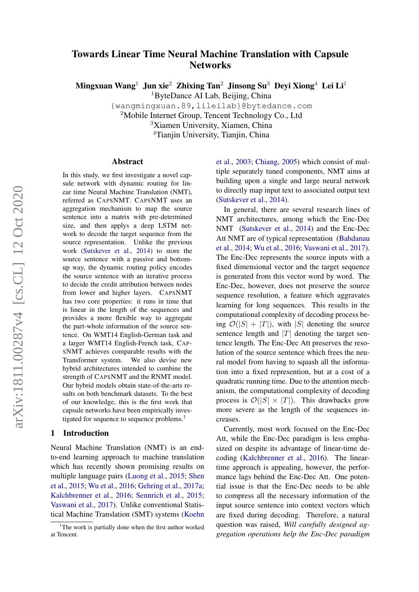# Towards Linear Time Neural Machine Translation with Capsule **Networks**

Mingxuan Wang<sup>1</sup> Jun xie<sup>2</sup> Zhixing Tan<sup>2</sup> Jinsong Su<sup>3</sup> Devi Xiong<sup>4</sup> Lei Li<sup>1</sup>

<sup>1</sup>ByteDance AI Lab, Beijing, China

{wangmingxuan.89,lileilab}@bytedance.com

<sup>2</sup>Mobile Internet Group, Tencent Technology Co., Ltd

<sup>3</sup>Xiamen University, Xiamen, China

<sup>4</sup>Tianjin University, Tianjin, China

#### Abstract

In this study, we first investigate a novel capsule network with dynamic routing for linear time Neural Machine Translation (NMT), referred as CAPSNMT. CAPSNMT uses an aggregation mechanism to map the source sentence into a matrix with pre-determined size, and then applys a deep LSTM network to decode the target sequence from the source representation. Unlike the previous work [\(Sutskever et al.,](#page-8-0) [2014\)](#page-8-0) to store the source sentence with a passive and bottomup way, the dynamic routing policy encodes the source sentence with an iterative process to decide the credit attribution between nodes from lower and higher layers. CAPSNMT has two core properties: it runs in time that is linear in the length of the sequences and provides a more flexible way to aggregate the part-whole information of the source sentence. On WMT14 English-German task and a larger WMT14 English-French task, CAP-SNMT achieves comparable results with the Transformer system. We also devise new hybrid architectures intended to combine the strength of CAPSNMT and the RNMT model. Our hybrid models obtain state-of-the-arts results on both benchmark datasets. To the best of our knowledge, this is the first work that capsule networks have been empirically inves-tigated for sequence to sequence problems.<sup>[1](#page-0-0)</sup>

# 1 Introduction

Neural Machine Translation (NMT) is an endto-end learning approach to machine translation which has recently shown promising results on multiple language pairs [\(Luong et al.,](#page-8-1) [2015;](#page-8-1) [Shen](#page-8-2) [et al.,](#page-8-2) [2015;](#page-8-2) [Wu et al.,](#page-9-0) [2016;](#page-9-0) [Gehring et al.,](#page-8-3) [2017a;](#page-8-3) [Kalchbrenner et al.,](#page-8-4) [2016;](#page-8-4) [Sennrich et al.,](#page-8-5) [2015;](#page-8-5) [Vaswani et al.,](#page-8-6) [2017\)](#page-8-6). Unlike conventional Statistical Machine Translation (SMT) systems [\(Koehn](#page-8-7)

[et al.,](#page-8-7) [2003;](#page-8-7) [Chiang,](#page-8-8) [2005\)](#page-8-8) which consist of multiple separately tuned components, NMT aims at building upon a single and large neural network to directly map input text to associated output text [\(Sutskever et al.,](#page-8-0) [2014\)](#page-8-0).

In general, there are several research lines of NMT architectures, among which the Enc-Dec NMT [\(Sutskever et al.,](#page-8-0) [2014\)](#page-8-0) and the Enc-Dec Att NMT are of typical representation [\(Bahdanau](#page-8-9) [et al.,](#page-8-9) [2014;](#page-8-9) [Wu et al.,](#page-9-0) [2016;](#page-9-0) [Vaswani et al.,](#page-8-6) [2017\)](#page-8-6). The Enc-Dec represents the source inputs with a fixed dimensional vector and the target sequence is generated from this vector word by word. The Enc-Dec, however, does not preserve the source sequence resolution, a feature which aggravates learning for long sequences. This results in the computational complexity of decoding process being  $\mathcal{O}(|S| + |T|)$ , with |S| denoting the source sentence length and  $|T|$  denoting the target sentence length. The Enc-Dec Att preserves the resolution of the source sentence which frees the neural model from having to squash all the information into a fixed represention, but at a cost of a quadratic running time. Due to the attention mechanism, the computational complexity of decoding process is  $\mathcal{O}(|S| \times |T|)$ . This drawbacks grow more severe as the length of the sequences increases.

Currently, most work focused on the Enc-Dec Att, while the Enc-Dec paradigm is less emphasized on despite its advantage of linear-time decoding [\(Kalchbrenner et al.,](#page-8-4) [2016\)](#page-8-4). The lineartime approach is appealing, however, the performance lags behind the Enc-Dec Att. One potential issue is that the Enc-Dec needs to be able to compress all the necessary information of the input source sentence into context vectors which are fixed during decoding. Therefore, a natural question was raised, *Will carefully designed aggregation operations help the Enc-Dec paradigm*

<span id="page-0-0"></span><sup>&</sup>lt;sup>1</sup>[The work is partially done when the first author worked](#page-8-7) [at Tencent.](#page-8-7)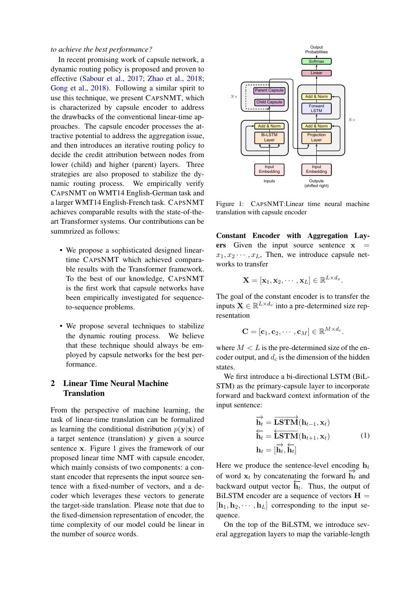*to achieve the best performance?*

In recent promising work of capsule network, a dynamic routing policy is proposed and proven to effective [\(Sabour et al.,](#page-8-10) [2017;](#page-8-10) [Zhao et al.,](#page-9-1) [2018;](#page-9-1) [Gong et al.,](#page-8-11) [2018\)](#page-8-11). Following a similar spirit to use this technique, we present CAPSNMT, which is characterized by capsule encoder to address the drawbacks of the conventional linear-time approaches. The capsule encoder processes the attractive potential to address the aggregation issue, and then introduces an iterative routing policy to decide the credit attribution between nodes from lower (child) and higher (parent) layers. Three strategies are also proposed to stabilize the dynamic routing process. We empirically verify CAPSNMT on WMT14 English-German task and a larger WMT14 English-French task. CAPSNMT achieves comparable results with the state-of-theart Transformer systems. Our contributions can be summrized as follows:

- We propose a sophisticated designed lineartime CAPSNMT which achieved comparable results with the Transformer framework. To the best of our knowledge, CAPSNMT is the first work that capsule networks have been empirically investigated for sequenceto-sequence problems.
- We propose several techniques to stabilize the dynamic routing process. We believe that these technique should always be employed by capsule networks for the best performance.

# 2 Linear Time Neural Machine **Translation**

From the perspective of machine learning, the task of linear-time translation can be formalized as learning the conditional distribution  $p(\mathbf{y}|\mathbf{x})$  of a target sentence (translation) y given a source sentence x. Figure [1](#page-1-0) gives the framework of our proposed linear time NMT with capsule encoder, which mainly consists of two components: a constant encoder that represents the input source sentence with a fixed-number of vectors, and a decoder which leverages these vectors to generate the target-side translation. Please note that due to the fixed-dimension representation of encoder, the time complexity of our model could be linear in the number of source words.

<span id="page-1-0"></span>

Figure 1: CAPSNMT:Linear time neural machine translation with capsule encoder

Constant Encoder with Aggregation Layers Given the input source sentence  $x =$  $x_1, x_2 \cdots, x_L$ , Then, we introduce capsule networks to transfer

$$
\mathbf{X} = [\mathbf{x}_1, \mathbf{x}_2, \cdots, \mathbf{x}_L] \in \mathbb{R}^{L \times d_x}.
$$

The goal of the constant encoder is to transfer the inputs  $\mathbf{X} \in \mathbb{R}^{L \times d_v}$  into a pre-determined size representation

$$
\mathbf{C} = [\mathbf{c}_1, \mathbf{c}_2, \cdots, \mathbf{c}_M] \in \mathbb{R}^{M \times d_c}.
$$

where  $M < L$  is the pre-determined size of the encoder output, and  $d_c$  is the dimension of the hidden states.

We first introduce a bi-directional LSTM (BiL-STM) as the primary-capsule layer to incorporate forward and backward context information of the input sentence:

$$
\overrightarrow{\mathbf{h}_t} = \overrightarrow{\mathbf{LSTM}}(\mathbf{h}_{t-1}, \mathbf{x}_t)
$$
\n
$$
\overleftarrow{\mathbf{h}_t} = \overleftarrow{\mathbf{LSTM}}(\mathbf{h}_{t+1}, \mathbf{x}_t)
$$
\n
$$
\mathbf{h}_t = [\overrightarrow{\mathbf{h}_t}, \overleftarrow{\mathbf{h}_t}]
$$
\n(1)

Here we produce the sentence-level encoding  $h_t$ of word  $\mathbf{x}_t$  by concatenating the forward  $\overrightarrow{h_t}$  and backward output vector  $\overleftarrow{h_t}$ . Thus, the output of BiLSTM encoder are a sequence of vectors  $H =$  $[\mathbf{h}_1, \mathbf{h}_2, \cdots, \mathbf{h}_L]$  corresponding to the input sequence.

On the top of the BiLSTM, we introduce several aggregation layers to map the variable-length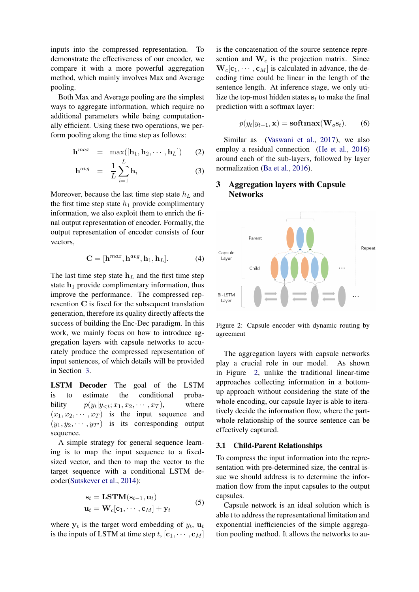inputs into the compressed representation. To demonstrate the effectiveness of our encoder, we compare it with a more powerful aggregation method, which mainly involves Max and Average pooling.

Both Max and Average pooling are the simplest ways to aggregate information, which require no additional parameters while being computationally efficient. Using these two operations, we perform pooling along the time step as follows:

$$
\mathbf{h}^{max} = \max([\mathbf{h}_1, \mathbf{h}_2, \cdots, \mathbf{h}_L]) \qquad (2)
$$

$$
\mathbf{h}^{avg} = \frac{1}{L} \sum_{i=1}^{L} \mathbf{h}_i
$$
 (3)

Moreover, because the last time step state  $h<sub>L</sub>$  and the first time step state  $h_1$  provide complimentary information, we also exploit them to enrich the final output representation of encoder. Formally, the output representation of encoder consists of four vectors,

$$
\mathbf{C} = [\mathbf{h}^{max}, \mathbf{h}^{avg}, \mathbf{h}_1, \mathbf{h}_L]. \tag{4}
$$

The last time step state  $h<sub>L</sub>$  and the first time step state  $h_1$  provide complimentary information, thus improve the performance. The compressed represention C is fixed for the subsequent translation generation, therefore its quality directly affects the success of building the Enc-Dec paradigm. In this work, we mainly focus on how to introduce aggregation layers with capsule networks to accurately produce the compressed representation of input sentences, of which details will be provided in Section [3.](#page-2-0)

LSTM Decoder The goal of the LSTM is to estimate the conditional probability  $p(y_t|y_{\leq t}; x_1, x_2, \cdots, x_T)$ , where  $(x_1, x_2, \dots, x_T)$  is the input sequence and  $(y_1, y_2, \dots, y_{T'})$  is its corresponding output sequence.

A simple strategy for general sequence learning is to map the input sequence to a fixedsized vector, and then to map the vector to the target sequence with a conditional LSTM decoder[\(Sutskever et al.,](#page-8-0) [2014\)](#page-8-0):

$$
\mathbf{s}_t = \mathbf{LSTM}(\mathbf{s}_{t-1}, \mathbf{u}_t)
$$
  

$$
\mathbf{u}_t = \mathbf{W}_c[\mathbf{c}_1, \cdots, \mathbf{c}_M] + \mathbf{y}_t
$$
 (5)

where  $y_t$  is the target word embedding of  $y_t$ ,  $u_t$ is the inputs of LSTM at time step t,  $[\mathbf{c}_1, \cdots, \mathbf{c}_M]$ 

is the concatenation of the source sentence represention and  $W_c$  is the projection matrix. Since  $\mathbf{W}_c[\mathbf{c}_1, \cdots, \mathbf{c}_M]$  is calculated in advance, the decoding time could be linear in the length of the sentence length. At inference stage, we only utilize the top-most hidden states  $s_t$  to make the final prediction with a softmax layer:

$$
p(y_t|y_{t-1}, \mathbf{x}) = \mathbf{softmax}(\mathbf{W}_o \mathbf{s}_t). \qquad (6)
$$

Similar as [\(Vaswani et al.,](#page-8-6) [2017\)](#page-8-6), we also employ a residual connection [\(He et al.,](#page-8-12) [2016\)](#page-8-12) around each of the sub-layers, followed by layer normalization [\(Ba et al.,](#page-8-13) [2016\)](#page-8-13).

# <span id="page-2-0"></span>3 Aggregation layers with Capsule **Networks**

<span id="page-2-1"></span>

Figure 2: Capsule encoder with dynamic routing by agreement

The aggregation layers with capsule networks play a crucial role in our model. As shown in Figure [2,](#page-2-1) unlike the traditional linear-time approaches collecting information in a bottomup approach without considering the state of the whole encoding, our capsule layer is able to iteratively decide the information flow, where the partwhole relationship of the source sentence can be effectively captured.

#### 3.1 Child-Parent Relationships

To compress the input information into the representation with pre-determined size, the central issue we should address is to determine the information flow from the input capsules to the output capsules.

Capsule network is an ideal solution which is able t to address the representational limitation and exponential inefficiencies of the simple aggregation pooling method. It allows the networks to au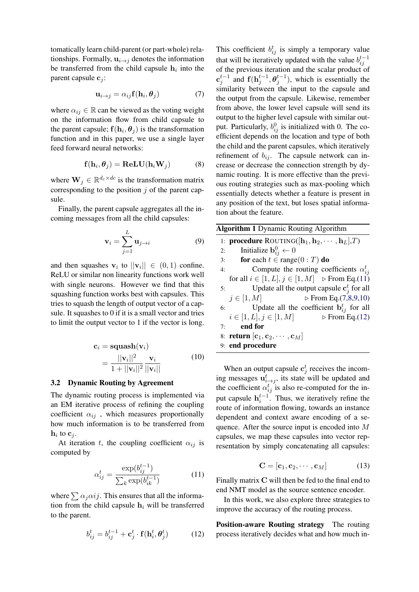tomatically learn child-parent (or part-whole) relationships. Formally,  $\mathbf{u}_{i\rightarrow j}$  denotes the information be transferred from the child capsule  $h_i$  into the parent capsule  $c_i$ :

<span id="page-3-1"></span>
$$
\mathbf{u}_{i \to j} = \alpha_{ij} \mathbf{f}(\mathbf{h}_i, \boldsymbol{\theta}_j) \tag{7}
$$

where  $\alpha_{ij} \in \mathbb{R}$  can be viewed as the voting weight on the information flow from child capsule to the parent capsule;  $f(h_i, \theta_j)$  is the transformation function and in this paper, we use a single layer feed forward neural networks:

<span id="page-3-2"></span>
$$
\mathbf{f}(\mathbf{h}_i, \boldsymbol{\theta}_j) = \mathbf{ReLU}(\mathbf{h}_i \mathbf{W}_j)
$$
(8)

where  $\mathbf{W}_j \in \mathbb{R}^{d_c \times dc}$  is the transformation matrix corresponding to the position  $j$  of the parent capsule.

Finally, the parent capsule aggregates all the incoming messages from all the child capsules:

$$
\mathbf{v}_i = \sum_{j=1}^L \mathbf{u}_{j \to i} \tag{9}
$$

and then squashes  $\mathbf{v}_i$  to  $||\mathbf{v}_i|| \in (0,1)$  confine. ReLU or similar non linearity functions work well with single neurons. However we find that this squashing function works best with capsules. This tries to squash the length of output vector of a capsule. It squashes to 0 if it is a small vector and tries to limit the output vector to 1 if the vector is long.

<span id="page-3-4"></span>
$$
\mathbf{c}_{i} = \mathbf{squash}(\mathbf{v}_{i})
$$

$$
= \frac{||\mathbf{v}_{i}||^{2}}{1 + ||\mathbf{v}_{i}||^{2}} \frac{\mathbf{v}_{i}}{||\mathbf{v}_{i}||}
$$
(10)

### 3.2 Dynamic Routing by Agreement

The dynamic routing process is implemented via an EM iterative process of refining the coupling coefficient  $\alpha_{ij}$ , which measures proportionally how much information is to be transferred from  $\mathbf{h}_i$  to  $\mathbf{c}_j$ .

At iteration t, the coupling coefficient  $\alpha_{ij}$  is computed by

<span id="page-3-0"></span>
$$
\alpha_{ij}^{t} = \frac{\exp(b_{ij}^{t-1})}{\sum_{k} \exp(b_{ik}^{t-1})}
$$
(11)

<span id="page-3-5"></span>where  $\sum \alpha_i \alpha i j$ . This ensures that all the information from the child capsule  $h_i$  will be transferred to the parent.

$$
b_{ij}^t = b_{ij}^{t-1} + \mathbf{c}_j^t \cdot \mathbf{f}(\mathbf{h}_i^t, \boldsymbol{\theta}_j^t)
$$
 (12)

This coefficient  $b_{ij}^t$  is simply a temporary value that will be iteratively updated with the value  $b_{ij}^{t-1}$ of the previous iteration and the scalar product of  ${\bf c}_j^{t-1}$  and  ${\bf f}({\bf h}_j^{t-1}, {\boldsymbol \theta}_j^{t-1})$ , which is essentially the similarity between the input to the capsule and the output from the capsule. Likewise, remember from above, the lower level capsule will send its output to the higher level capsule with similar output. Particularly,  $b_{ij}^0$  is initialized with 0. The coefficient depends on the location and type of both the child and the parent capsules, which iteratively refinement of  $b_{ij}$ . The capsule network can increase or decrease the connection strength by dynamic routing. It is more effective than the previous routing strategies such as max-pooling which essentially detects whether a feature is present in any position of the text, but loses spatial information about the feature.

<span id="page-3-3"></span>

| <b>Algorithm 1 Dynamic Routing Algorithm</b> |                                                                                        |  |  |  |
|----------------------------------------------|----------------------------------------------------------------------------------------|--|--|--|
|                                              | 1: <b>procedure</b> ROUTING( $[\mathbf{h}_1, \mathbf{h}_2, \cdots, \mathbf{h}_L], T$ ) |  |  |  |
| 2:                                           | Initialize $\mathbf{b}_{ij}^0 \leftarrow 0$                                            |  |  |  |
| 3:                                           | for each $t \in \text{range}(0:T)$ do                                                  |  |  |  |
| 4:                                           | Compute the routing coefficients $\alpha_{ij}^t$                                       |  |  |  |
|                                              | for all $i \in [1, L], j \in [1, M] \Rightarrow$ From Eq.(11)                          |  |  |  |
| 5:                                           | Update all the output capsule $c_i^t$ for all                                          |  |  |  |
|                                              | $\triangleright$ From Eq. (7,8,9,10)<br>$j\in[1,M]$                                    |  |  |  |
| 6:                                           | Update all the coefficient $\mathbf{b}_{ij}^t$ for all                                 |  |  |  |
|                                              | $i \in [1, L], j \in [1, M]$<br>$\triangleright$ From Eq.(12)                          |  |  |  |
|                                              | end for<br>7:                                                                          |  |  |  |
|                                              | 8: return $[\mathbf{c}_1, \mathbf{c}_2, \cdots, \mathbf{c}_M]$                         |  |  |  |
|                                              | 9: end procedure                                                                       |  |  |  |

When an output capsule  $c_j^t$  receives the incoming messages  $\mathbf{u}_{i \to j}^{t}$ , its state will be updated and the coefficient  $\alpha_{ij}^{t}$  is also re-computed for the input capsule  $\mathbf{h}_i^{t-1}$ . Thus, we iteratively refine the route of information flowing, towards an instance dependent and context aware encoding of a sequence. After the source input is encoded into M capsules, we map these capsules into vector representation by simply concatenating all capsules:

$$
\mathbf{C} = [\mathbf{c}_1, \mathbf{c}_2, \cdots, \mathbf{c}_M] \tag{13}
$$

Finally matrix C will then be fed to the final end to end NMT model as the source sentence encoder.

In this work, we also explore three strategies to improve the accuracy of the routing process.

Position-aware Routing strategy The routing process iteratively decides what and how much in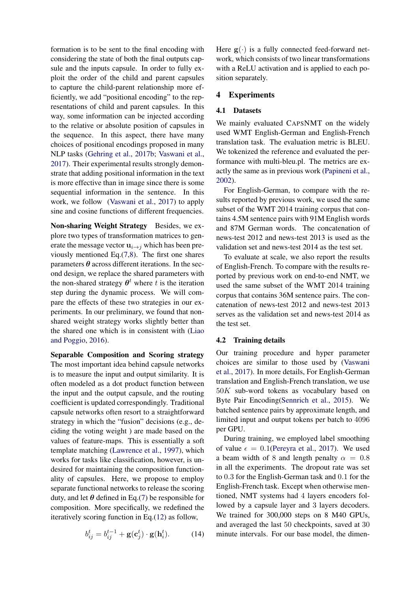formation is to be sent to the final encoding with considering the state of both the final outputs capsule and the inputs capsule. In order to fully exploit the order of the child and parent capsules to capture the child-parent relationship more efficiently, we add "positional encoding" to the representations of child and parent capsules. In this way, some information can be injected according to the relative or absolute position of capsules in the sequence. In this aspect, there have many choices of positional encodings proposed in many NLP tasks [\(Gehring et al.,](#page-8-14) [2017b;](#page-8-14) [Vaswani et al.,](#page-8-6) [2017\)](#page-8-6). Their experimental results strongly demonstrate that adding positional information in the text is more effective than in image since there is some sequential information in the sentence. In this work, we follow [\(Vaswani et al.,](#page-8-6) [2017\)](#page-8-6) to apply sine and cosine functions of different frequencies.

Non-sharing Weight Strategy Besides, we explore two types of transformation matrices to generate the message vector  $\mathbf{u}_{i\rightarrow j}$  which has been previously mentioned Eq.[\(7](#page-3-1)[,8\)](#page-3-2). The first one shares parameters  $\theta$  across different iterations. In the second design, we replace the shared parameters with the non-shared strategy  $\theta^t$  where t is the iteration step during the dynamic process. We will compare the effects of these two strategies in our experiments. In our preliminary, we found that nonshared weight strategy works slightly better than the shared one which is in consistent with [\(Liao](#page-8-15) [and Poggio,](#page-8-15) [2016\)](#page-8-15).

Separable Composition and Scoring strategy The most important idea behind capsule networks is to measure the input and output similarity. It is often modeled as a dot product function between the input and the output capsule, and the routing coefficient is updated correspondingly. Traditional capsule networks often resort to a straightforward strategy in which the "fusion" decisions (e.g., deciding the voting weight ) are made based on the values of feature-maps. This is essentially a soft template matching [\(Lawrence et al.,](#page-8-16) [1997\)](#page-8-16), which works for tasks like classification, however, is undesired for maintaining the composition functionality of capsules. Here, we propose to employ separate functional networks to release the scoring duty, and let  $\theta$  defined in Eq.[\(7\)](#page-3-1) be responsible for composition. More specifically, we redefined the iteratively scoring function in Eq.[\(12\)](#page-3-5) as follow,

$$
b_{ij}^t = b_{ij}^{t-1} + \mathbf{g}(\mathbf{c}_j^t) \cdot \mathbf{g}(\mathbf{h}_i^t). \tag{14}
$$

Here  $g(.)$  is a fully connected feed-forward network, which consists of two linear transformations with a ReLU activation and is applied to each position separately.

# 4 Experiments

#### 4.1 Datasets

We mainly evaluated CAPSNMT on the widely used WMT English-German and English-French translation task. The evaluation metric is BLEU. We tokenized the reference and evaluated the performance with multi-bleu.pl. The metrics are exactly the same as in previous work [\(Papineni et al.,](#page-8-17) [2002\)](#page-8-17).

For English-German, to compare with the results reported by previous work, we used the same subset of the WMT 2014 training corpus that contains 4.5M sentence pairs with 91M English words and 87M German words. The concatenation of news-test 2012 and news-test 2013 is used as the validation set and news-test 2014 as the test set.

To evaluate at scale, we also report the results of English-French. To compare with the results reported by previous work on end-to-end NMT, we used the same subset of the WMT 2014 training corpus that contains 36M sentence pairs. The concatenation of news-test 2012 and news-test 2013 serves as the validation set and news-test 2014 as the test set.

#### 4.2 Training details

Our training procedure and hyper parameter choices are similar to those used by [\(Vaswani](#page-8-6) [et al.,](#page-8-6) [2017\)](#page-8-6). In more details, For English-German translation and English-French translation, we use 50K sub-word tokens as vocabulary based on Byte Pair Encoding[\(Sennrich et al.,](#page-8-5) [2015\)](#page-8-5). We batched sentence pairs by approximate length, and limited input and output tokens per batch to 4096 per GPU.

During training, we employed label smoothing of value  $\epsilon = 0.1$ [\(Pereyra et al.,](#page-8-18) [2017\)](#page-8-18). We used a beam width of 8 and length penalty  $\alpha = 0.8$ in all the experiments. The dropout rate was set to 0.3 for the English-German task and 0.1 for the English-French task. Except when otherwise mentioned, NMT systems had 4 layers encoders followed by a capsule layer and 3 layers decoders. We trained for 300,000 steps on 8 M40 GPUs, and averaged the last 50 checkpoints, saved at 30 minute intervals. For our base model, the dimen-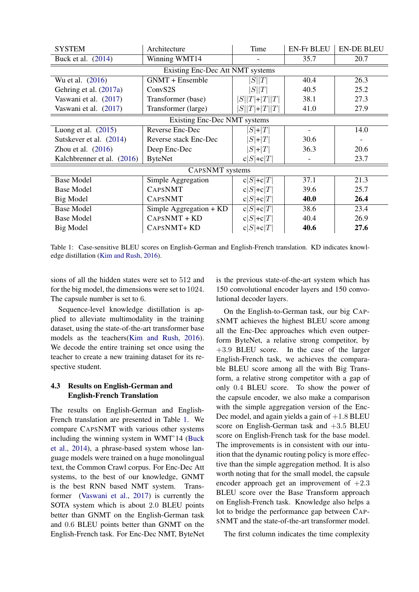<span id="page-5-0"></span>

| <b>SYSTEM</b>                    | Architecture            | Time            | <b>EN-Fr BLEU</b> | <b>EN-DE BLEU</b> |  |  |  |
|----------------------------------|-------------------------|-----------------|-------------------|-------------------|--|--|--|
| Buck et al. (2014)               | Winning WMT14           |                 | 35.7              | 20.7              |  |  |  |
| Existing Enc-Dec Att NMT systems |                         |                 |                   |                   |  |  |  |
| Wu et al. (2016)                 | GNMT + Ensemble         | S  T            | 40.4              | 26.3              |  |  |  |
| Gehring et al. (2017a)           | Conv <sub>S2S</sub>     | S  T            | 40.5              | 25.2              |  |  |  |
| Vaswani et al. (2017)            | Transformer (base)      | $ S  T + T  T $ | 38.1              | 27.3              |  |  |  |
| Vaswani et al. (2017)            | Transformer (large)     | $S  T + T  T $  | 41.0              | 27.9              |  |  |  |
| Existing Enc-Dec NMT systems     |                         |                 |                   |                   |  |  |  |
| Luong et al. $(2015)$            | Reverse Enc-Dec         | $ S $ + $ T $   |                   | 14.0              |  |  |  |
| Sutskever et al. (2014)          | Reverse stack Enc-Dec   | $ S + T $       | 30.6              |                   |  |  |  |
| Zhou et al. $(2016)$             | Deep Enc-Dec            | $ S + T $       | 36.3              | 20.6              |  |  |  |
| Kalchbrenner et al. (2016)       | <b>ByteNet</b>          | $c S +c T $     |                   | 23.7              |  |  |  |
| CAPSNMT systems                  |                         |                 |                   |                   |  |  |  |
| <b>Base Model</b>                | Simple Aggregation      | $c S +c T $     | 37.1              | 21.3              |  |  |  |
| <b>Base Model</b>                | <b>CAPSNMT</b>          | $c S +c T $     | 39.6              | 25.7              |  |  |  |
| <b>Big Model</b>                 | <b>CAPSNMT</b>          | $c S +c T $     | 40.0              | 26.4              |  |  |  |
| <b>Base Model</b>                | Simple Aggregation + KD | $c S +c T $     | 38.6              | 23.4              |  |  |  |
| <b>Base Model</b>                | CAPSNMT + KD            | $c S +c T $     | 40.4              | 26.9              |  |  |  |
| Big Model                        | CAPSNMT+KD              | $c S +c T $     | 40.6              | 27.6              |  |  |  |

Table 1: Case-sensitive BLEU scores on English-German and English-French translation. KD indicates knowledge distillation [\(Kim and Rush,](#page-8-20) [2016\)](#page-8-20).

sions of all the hidden states were set to 512 and for the big model, the dimensions were set to 1024. The capsule number is set to 6.

Sequence-level knowledge distillation is applied to alleviate multimodality in the training dataset, using the state-of-the-art transformer base models as the teachers[\(Kim and Rush,](#page-8-20) [2016\)](#page-8-20). We decode the entire training set once using the teacher to create a new training dataset for its respective student.

# 4.3 Results on English-German and English-French Translation

The results on English-German and English-French translation are presented in Table [1.](#page-5-0) We compare CAPSNMT with various other systems including the winning system in WMT'14 [\(Buck](#page-8-19) [et al.,](#page-8-19) [2014\)](#page-8-19), a phrase-based system whose language models were trained on a huge monolingual text, the Common Crawl corpus. For Enc-Dec Att systems, to the best of our knowledge, GNMT is the best RNN based NMT system. Transformer [\(Vaswani et al.,](#page-8-6) [2017\)](#page-8-6) is currently the SOTA system which is about 2.0 BLEU points better than GNMT on the English-German task and 0.6 BLEU points better than GNMT on the English-French task. For Enc-Dec NMT, ByteNet is the previous state-of-the-art system which has 150 convolutional encoder layers and 150 convolutional decoder layers.

On the English-to-German task, our big CAP-SNMT achieves the highest BLEU score among all the Enc-Dec approaches which even outperform ByteNet, a relative strong competitor, by +3.9 BLEU score. In the case of the larger English-French task, we achieves the comparable BLEU score among all the with Big Transform, a relative strong competitor with a gap of only 0.4 BLEU score. To show the power of the capsule encoder, we also make a comparison with the simple aggregation version of the Enc-Dec model, and again yields a gain of  $+1.8$  BLEU score on English-German task and  $+3.5$  BLEU score on English-French task for the base model. The improvements is in consistent with our intuition that the dynamic routing policy is more effective than the simple aggregation method. It is also worth noting that for the small model, the capsule encoder approach get an improvement of  $+2.3$ BLEU score over the Base Transform approach on English-French task. Knowledge also helps a lot to bridge the performance gap between CAP-SNMT and the state-of-the-art transformer model.

The first column indicates the time complexity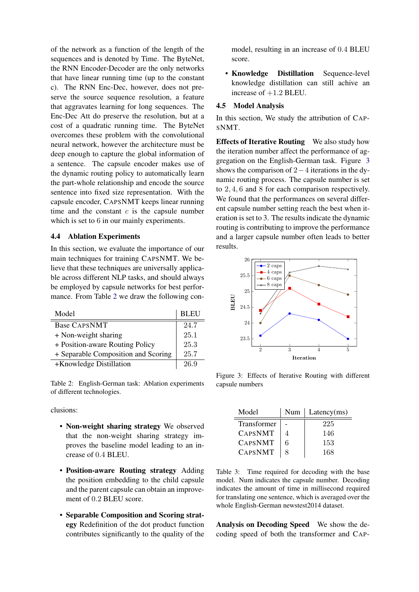of the network as a function of the length of the sequences and is denoted by Time. The ByteNet, the RNN Encoder-Decoder are the only networks that have linear running time (up to the constant c). The RNN Enc-Dec, however, does not preserve the source sequence resolution, a feature that aggravates learning for long sequences. The Enc-Dec Att do preserve the resolution, but at a cost of a quadratic running time. The ByteNet overcomes these problem with the convolutional neural network, however the architecture must be deep enough to capture the global information of a sentence. The capsule encoder makes use of the dynamic routing policy to automatically learn the part-whole relationship and encode the source sentence into fixed size representation. With the capsule encoder, CAPSNMT keeps linear running time and the constant  $c$  is the capsule number which is set to 6 in our mainly experiments.

### 4.4 Ablation Experiments

In this section, we evaluate the importance of our main techniques for training CAPSNMT. We believe that these techniques are universally applicable across different NLP tasks, and should always be employed by capsule networks for best performance. From Table [2](#page-6-0) we draw the following con-

<span id="page-6-0"></span>

| Model                               | <b>BLEU</b> |
|-------------------------------------|-------------|
| <b>Base CAPSNMT</b>                 | 24.7        |
| + Non-weight sharing                | 25.1        |
| + Position-aware Routing Policy     | 25.3        |
| + Separable Composition and Scoring | 25.7        |
| +Knowledge Distillation             | 26.9        |

Table 2: English-German task: Ablation experiments of different technologies.

clusions:

- Non-weight sharing strategy We observed that the non-weight sharing strategy improves the baseline model leading to an increase of 0.4 BLEU.
- Position-aware Routing strategy Adding the position embedding to the child capsule and the parent capsule can obtain an improvement of 0.2 BLEU score.
- Separable Composition and Scoring strategy Redefinition of the dot product function contributes significantly to the quality of the

model, resulting in an increase of 0.4 BLEU score.

• Knowledge Distillation Sequence-level knowledge distillation can still achive an increase of  $+1.2$  BLEU.

# 4.5 Model Analysis

In this section, We study the attribution of CAP-SNMT.

Effects of Iterative Routing We also study how the iteration number affect the performance of aggregation on the English-German task. Figure [3](#page-6-1) shows the comparison of 2−4 iterations in the dynamic routing process. The capsule number is set to 2, 4, 6 and 8 for each comparison respectively. We found that the performances on several different capsule number setting reach the best when iteration is set to 3. The results indicate the dynamic routing is contributing to improve the performance and a larger capsule number often leads to better results.

<span id="page-6-1"></span>

Figure 3: Effects of Iterative Routing with different capsule numbers

<span id="page-6-2"></span>

| Model              | Num | Latency(ms) |
|--------------------|-----|-------------|
| <b>Transformer</b> |     | 225         |
| <b>CAPSNMT</b>     |     | 146         |
| <b>CAPSNMT</b>     | 6   | 153         |
| <b>CAPSNMT</b>     |     | 168         |

Table 3: Time required for decoding with the base model. Num indicates the capsule number. Decoding indicates the amount of time in millisecond required for translating one sentence, which is averaged over the whole English-German newstest2014 dataset.

Analysis on Decoding Speed We show the decoding speed of both the transformer and CAP-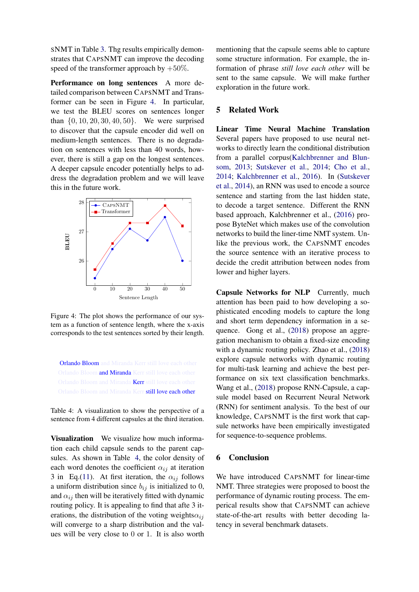SNMT in Table [3.](#page-6-2) Thg results empirically demonstrates that CAPSNMT can improve the decoding speed of the transformer approach by  $+50\%$ .

Performance on long sentences A more detailed comparison between CAPSNMT and Transformer can be seen in Figure [4.](#page-7-0) In particular, we test the BLEU scores on sentences longer than {0, 10, 20, 30, 40, 50}. We were surprised to discover that the capsule encoder did well on medium-length sentences. There is no degradation on sentences with less than 40 words, however, there is still a gap on the longest sentences. A deeper capsule encoder potentially helps to address the degradation problem and we will leave this in the future work.

<span id="page-7-0"></span>

Figure 4: The plot shows the performance of our system as a function of sentence length, where the x-axis corresponds to the test sentences sorted by their length.

<span id="page-7-1"></span>Orlando Bloom and Miranda Kerr still love each other Orlando Bloom and Miranda Kerr still love each other Orlando Bloom and Miranda Kerr still love each other Orlando Bloom and Miranda Kerr still love each other

Table 4: A visualization to show the perspective of a sentence from 4 different capsules at the third iteration.

Visualization We visualize how much information each child capsule sends to the parent capsules. As shown in Table [4,](#page-7-1) the color density of each word denotes the coefficient  $\alpha_{ij}$  at iteration 3 in Eq.[\(11\)](#page-3-0). At first iteration, the  $\alpha_{ij}$  follows a uniform distribution since  $b_{ij}$  is initialized to 0, and  $\alpha_{ij}$  then will be iteratively fitted with dynamic routing policy. It is appealing to find that afte 3 iterations, the distribution of the voting weights $\alpha_{ij}$ will converge to a sharp distribution and the values will be very close to 0 or 1. It is also worth

mentioning that the capsule seems able to capture some structure information. For example, the information of phrase *still love each other* will be sent to the same capsule. We will make further exploration in the future work.

#### 5 Related Work

Linear Time Neural Machine Translation Several papers have proposed to use neural networks to directly learn the conditional distribution from a parallel corpus[\(Kalchbrenner and Blun](#page-8-21)[som,](#page-8-21) [2013;](#page-8-21) [Sutskever et al.,](#page-8-0) [2014;](#page-8-0) [Cho et al.,](#page-8-22) [2014;](#page-8-22) [Kalchbrenner et al.,](#page-8-4) [2016\)](#page-8-4). In [\(Sutskever](#page-8-0) [et al.,](#page-8-0) [2014\)](#page-8-0), an RNN was used to encode a source sentence and starting from the last hidden state, to decode a target sentence. Different the RNN based approach, Kalchbrenner et al., [\(2016\)](#page-8-4) propose ByteNet which makes use of the convolution networks to build the liner-time NMT system. Unlike the previous work, the CAPSNMT encodes the source sentence with an iterative process to decide the credit attribution between nodes from lower and higher layers.

Capsule Networks for NLP Currently, much attention has been paid to how developing a sophisticated encoding models to capture the long and short term dependency information in a sequence. Gong et al., [\(2018\)](#page-8-11) propose an aggregation mechanism to obtain a fixed-size encoding with a dynamic routing policy. Zhao et al., [\(2018\)](#page-9-1) explore capsule networks with dynamic routing for multi-task learning and achieve the best performance on six text classification benchmarks. Wang et al., [\(2018\)](#page-8-23) propose RNN-Capsule, a capsule model based on Recurrent Neural Network (RNN) for sentiment analysis. To the best of our knowledge, CAPSNMT is the first work that capsule networks have been empirically investigated for sequence-to-sequence problems.

# 6 Conclusion

We have introduced CAPSNMT for linear-time NMT. Three strategies were proposed to boost the performance of dynamic routing process. The emperical results show that CAPSNMT can achieve state-of-the-art results with better decoding latency in several benchmark datasets.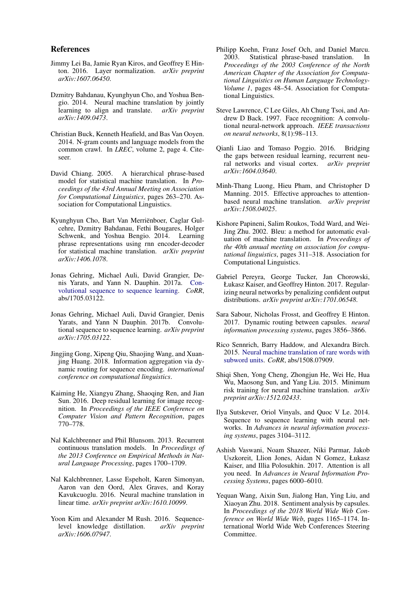#### References

- <span id="page-8-13"></span>Jimmy Lei Ba, Jamie Ryan Kiros, and Geoffrey E Hinton. 2016. Layer normalization. *arXiv preprint arXiv:1607.06450*.
- <span id="page-8-9"></span>Dzmitry Bahdanau, Kyunghyun Cho, and Yoshua Bengio. 2014. Neural machine translation by jointly learning to align and translate. *arXiv preprint arXiv:1409.0473*.
- <span id="page-8-19"></span>Christian Buck, Kenneth Heafield, and Bas Van Ooyen. 2014. N-gram counts and language models from the common crawl. In *LREC*, volume 2, page 4. Citeseer.
- <span id="page-8-8"></span>David Chiang. 2005. A hierarchical phrase-based model for statistical machine translation. In *Proceedings of the 43rd Annual Meeting on Association for Computational Linguistics*, pages 263–270. Association for Computational Linguistics.
- <span id="page-8-22"></span>Kyunghyun Cho, Bart Van Merriënboer, Caglar Gulcehre, Dzmitry Bahdanau, Fethi Bougares, Holger Schwenk, and Yoshua Bengio. 2014. Learning phrase representations using rnn encoder-decoder for statistical machine translation. *arXiv preprint arXiv:1406.1078*.
- <span id="page-8-3"></span>Jonas Gehring, Michael Auli, David Grangier, Denis Yarats, and Yann N. Dauphin. 2017a. [Con](http://arxiv.org/abs/1705.03122)[volutional sequence to sequence learning.](http://arxiv.org/abs/1705.03122) *CoRR*, abs/1705.03122.
- <span id="page-8-14"></span>Jonas Gehring, Michael Auli, David Grangier, Denis Yarats, and Yann N Dauphin. 2017b. Convolutional sequence to sequence learning. *arXiv preprint arXiv:1705.03122*.
- <span id="page-8-11"></span>Jingjing Gong, Xipeng Qiu, Shaojing Wang, and Xuanjing Huang. 2018. Information aggregation via dynamic routing for sequence encoding. *international conference on computational linguistics*.
- <span id="page-8-12"></span>Kaiming He, Xiangyu Zhang, Shaoqing Ren, and Jian Sun. 2016. Deep residual learning for image recognition. In *Proceedings of the IEEE Conference on Computer Vision and Pattern Recognition*, pages 770–778.
- <span id="page-8-21"></span>Nal Kalchbrenner and Phil Blunsom. 2013. Recurrent continuous translation models. In *Proceedings of the 2013 Conference on Empirical Methods in Natural Language Processing*, pages 1700–1709.
- <span id="page-8-4"></span>Nal Kalchbrenner, Lasse Espeholt, Karen Simonyan, Aaron van den Oord, Alex Graves, and Koray Kavukcuoglu. 2016. Neural machine translation in linear time. *arXiv preprint arXiv:1610.10099*.
- <span id="page-8-20"></span>Yoon Kim and Alexander M Rush. 2016. Sequencelevel knowledge distillation. *arXiv preprint arXiv:1606.07947*.
- <span id="page-8-7"></span>Philipp Koehn, Franz Josef Och, and Daniel Marcu. 2003. Statistical phrase-based translation. In *Proceedings of the 2003 Conference of the North American Chapter of the Association for Computational Linguistics on Human Language Technology-Volume 1*, pages 48–54. Association for Computational Linguistics.
- <span id="page-8-16"></span>Steve Lawrence, C Lee Giles, Ah Chung Tsoi, and Andrew D Back. 1997. Face recognition: A convolutional neural-network approach. *IEEE transactions on neural networks*, 8(1):98–113.
- <span id="page-8-15"></span>Qianli Liao and Tomaso Poggio. 2016. Bridging the gaps between residual learning, recurrent neural networks and visual cortex. *arXiv preprint arXiv:1604.03640*.
- <span id="page-8-1"></span>Minh-Thang Luong, Hieu Pham, and Christopher D Manning. 2015. Effective approaches to attentionbased neural machine translation. *arXiv preprint arXiv:1508.04025*.
- <span id="page-8-17"></span>Kishore Papineni, Salim Roukos, Todd Ward, and Wei-Jing Zhu. 2002. Bleu: a method for automatic evaluation of machine translation. In *Proceedings of the 40th annual meeting on association for computational linguistics*, pages 311–318. Association for Computational Linguistics.
- <span id="page-8-18"></span>Gabriel Pereyra, George Tucker, Jan Chorowski, Łukasz Kaiser, and Geoffrey Hinton. 2017. Regularizing neural networks by penalizing confident output distributions. *arXiv preprint arXiv:1701.06548*.
- <span id="page-8-10"></span>Sara Sabour, Nicholas Frosst, and Geoffrey E Hinton. 2017. Dynamic routing between capsules. *neural information processing systems*, pages 3856–3866.
- <span id="page-8-5"></span>Rico Sennrich, Barry Haddow, and Alexandra Birch. 2015. [Neural machine translation of rare words with](http://arxiv.org/abs/1508.07909) [subword units.](http://arxiv.org/abs/1508.07909) *CoRR*, abs/1508.07909.
- <span id="page-8-2"></span>Shiqi Shen, Yong Cheng, Zhongjun He, Wei He, Hua Wu, Maosong Sun, and Yang Liu. 2015. Minimum risk training for neural machine translation. *arXiv preprint arXiv:1512.02433*.
- <span id="page-8-0"></span>Ilya Sutskever, Oriol Vinyals, and Quoc V Le. 2014. Sequence to sequence learning with neural networks. In *Advances in neural information processing systems*, pages 3104–3112.
- <span id="page-8-6"></span>Ashish Vaswani, Noam Shazeer, Niki Parmar, Jakob Uszkoreit, Llion Jones, Aidan N Gomez, Łukasz Kaiser, and Illia Polosukhin. 2017. Attention is all you need. In *Advances in Neural Information Processing Systems*, pages 6000–6010.
- <span id="page-8-23"></span>Yequan Wang, Aixin Sun, Jialong Han, Ying Liu, and Xiaoyan Zhu. 2018. Sentiment analysis by capsules. In *Proceedings of the 2018 World Wide Web Conference on World Wide Web*, pages 1165–1174. International World Wide Web Conferences Steering Committee.